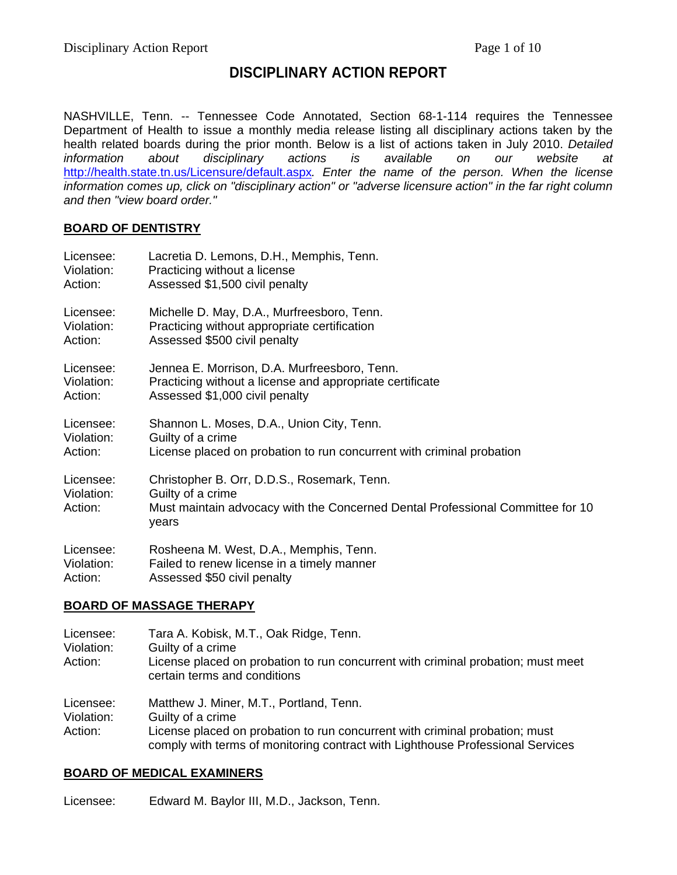# **DISCIPLINARY ACTION REPORT**

NASHVILLE, Tenn. -- Tennessee Code Annotated, Section 68-1-114 requires the Tennessee Department of Health to issue a monthly media release listing all disciplinary actions taken by the health related boards during the prior month. Below is a list of actions taken in July 2010. *Detailed information about disciplinary actions is available on our website at*  http://health.state.tn.us/Licensure/default.aspx*. Enter the name of the person. When the license information comes up, click on "disciplinary action" or "adverse licensure action" in the far right column and then "view board order."* 

### **BOARD OF DENTISTRY**

| Licensee:                          | Lacretia D. Lemons, D.H., Memphis, Tenn.                                                                                                                    |
|------------------------------------|-------------------------------------------------------------------------------------------------------------------------------------------------------------|
| Violation:                         | Practicing without a license                                                                                                                                |
| Action:                            | Assessed \$1,500 civil penalty                                                                                                                              |
| Licensee:                          | Michelle D. May, D.A., Murfreesboro, Tenn.                                                                                                                  |
| Violation:                         | Practicing without appropriate certification                                                                                                                |
| Action:                            | Assessed \$500 civil penalty                                                                                                                                |
| Licensee:                          | Jennea E. Morrison, D.A. Murfreesboro, Tenn.                                                                                                                |
| Violation:                         | Practicing without a license and appropriate certificate                                                                                                    |
| Action:                            | Assessed \$1,000 civil penalty                                                                                                                              |
| Licensee:                          | Shannon L. Moses, D.A., Union City, Tenn.                                                                                                                   |
| Violation:                         | Guilty of a crime                                                                                                                                           |
| Action:                            | License placed on probation to run concurrent with criminal probation                                                                                       |
| Licensee:<br>Violation:<br>Action: | Christopher B. Orr, D.D.S., Rosemark, Tenn.<br>Guilty of a crime<br>Must maintain advocacy with the Concerned Dental Professional Committee for 10<br>years |
| Licensee:                          | Rosheena M. West, D.A., Memphis, Tenn.                                                                                                                      |
| Violation:                         | Failed to renew license in a timely manner                                                                                                                  |
| Action:                            | Assessed \$50 civil penalty                                                                                                                                 |

### **BOARD OF MASSAGE THERAPY**

Licensee: Tara A. Kobisk, M.T., Oak Ridge, Tenn. Violation: Guilty of a crime Action: License placed on probation to run concurrent with criminal probation; must meet certain terms and conditions Licensee: Matthew J. Miner, M.T., Portland, Tenn.

Violation: Guilty of a crime

Action: License placed on probation to run concurrent with criminal probation; must comply with terms of monitoring contract with Lighthouse Professional Services

### **BOARD OF MEDICAL EXAMINERS**

Licensee: Edward M. Baylor III, M.D., Jackson, Tenn.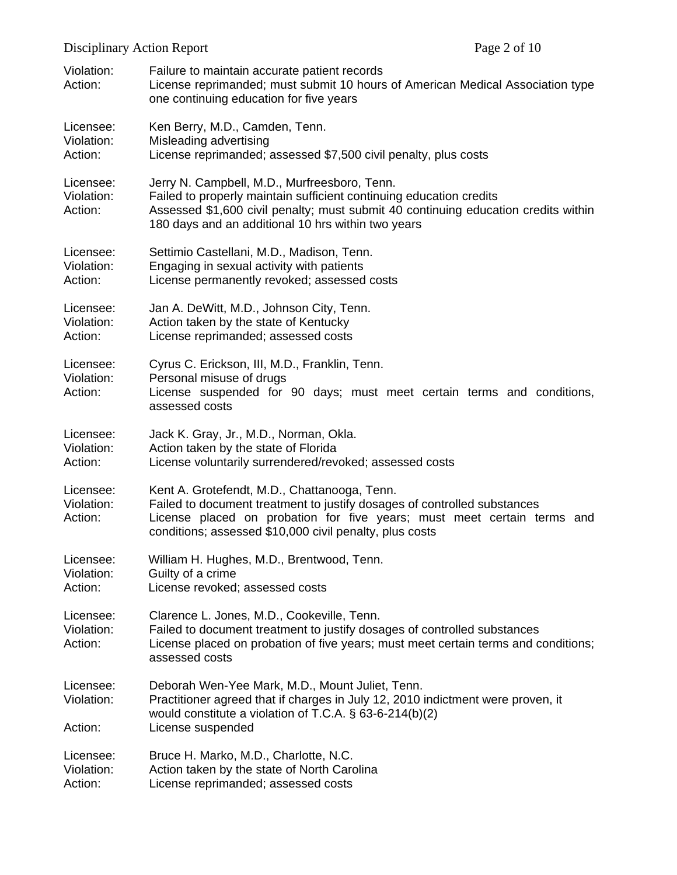|                                    | Page 2 of 10<br><b>Disciplinary Action Report</b>                                                                                                                                                                                                               |  |
|------------------------------------|-----------------------------------------------------------------------------------------------------------------------------------------------------------------------------------------------------------------------------------------------------------------|--|
| Violation:<br>Action:              | Failure to maintain accurate patient records<br>License reprimanded; must submit 10 hours of American Medical Association type<br>one continuing education for five years                                                                                       |  |
| Licensee:<br>Violation:<br>Action: | Ken Berry, M.D., Camden, Tenn.<br>Misleading advertising<br>License reprimanded; assessed \$7,500 civil penalty, plus costs                                                                                                                                     |  |
| Licensee:<br>Violation:<br>Action: | Jerry N. Campbell, M.D., Murfreesboro, Tenn.<br>Failed to properly maintain sufficient continuing education credits<br>Assessed \$1,600 civil penalty; must submit 40 continuing education credits within<br>180 days and an additional 10 hrs within two years |  |
| Licensee:<br>Violation:<br>Action: | Settimio Castellani, M.D., Madison, Tenn.<br>Engaging in sexual activity with patients<br>License permanently revoked; assessed costs                                                                                                                           |  |
| Licensee:<br>Violation:<br>Action: | Jan A. DeWitt, M.D., Johnson City, Tenn.<br>Action taken by the state of Kentucky<br>License reprimanded; assessed costs                                                                                                                                        |  |
| Licensee:<br>Violation:<br>Action: | Cyrus C. Erickson, III, M.D., Franklin, Tenn.<br>Personal misuse of drugs<br>License suspended for 90 days; must meet certain terms and conditions,<br>assessed costs                                                                                           |  |
| Licensee:<br>Violation:<br>Action: | Jack K. Gray, Jr., M.D., Norman, Okla.<br>Action taken by the state of Florida<br>License voluntarily surrendered/revoked; assessed costs                                                                                                                       |  |
| Licensee:<br>Violation:<br>Action: | Kent A. Grotefendt, M.D., Chattanooga, Tenn.<br>Failed to document treatment to justify dosages of controlled substances<br>License placed on probation for five years; must meet certain terms and<br>conditions; assessed \$10,000 civil penalty, plus costs  |  |
| Licensee:<br>Violation:<br>Action: | William H. Hughes, M.D., Brentwood, Tenn.<br>Guilty of a crime<br>License revoked; assessed costs                                                                                                                                                               |  |
| Licensee:<br>Violation:<br>Action: | Clarence L. Jones, M.D., Cookeville, Tenn.<br>Failed to document treatment to justify dosages of controlled substances<br>License placed on probation of five years; must meet certain terms and conditions;<br>assessed costs                                  |  |
| Licensee:<br>Violation:<br>Action: | Deborah Wen-Yee Mark, M.D., Mount Juliet, Tenn.<br>Practitioner agreed that if charges in July 12, 2010 indictment were proven, it<br>would constitute a violation of T.C.A. $\S$ 63-6-214(b)(2)<br>License suspended                                           |  |
| Licensee:<br>Violation:<br>Action: | Bruce H. Marko, M.D., Charlotte, N.C.<br>Action taken by the state of North Carolina<br>License reprimanded; assessed costs                                                                                                                                     |  |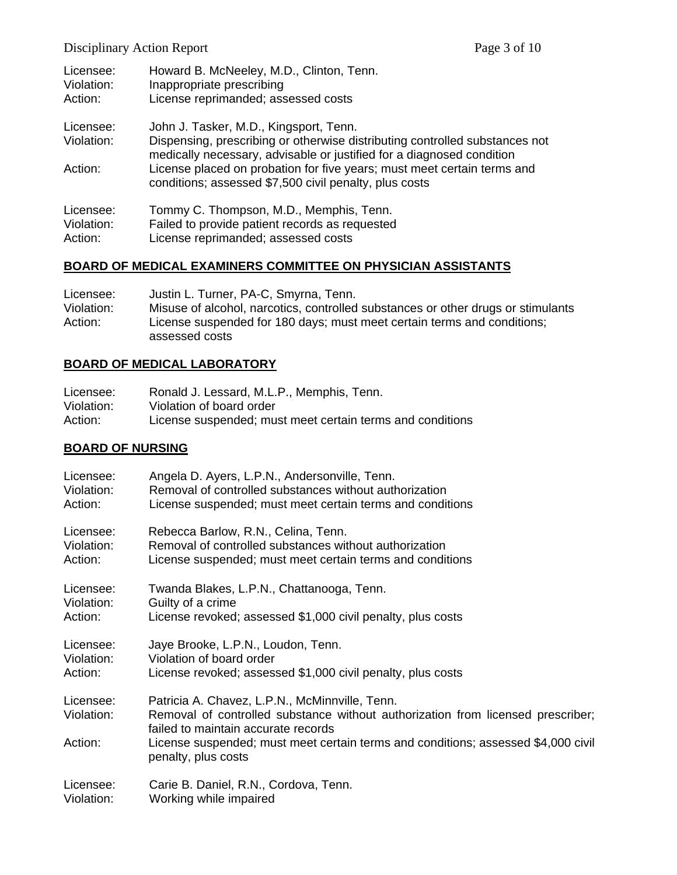Disciplinary Action Report Page 3 of 10

| Licensee:<br>Violation:<br>Action: | Howard B. McNeeley, M.D., Clinton, Tenn.<br>Inappropriate prescribing<br>License reprimanded; assessed costs                                         |
|------------------------------------|------------------------------------------------------------------------------------------------------------------------------------------------------|
|                                    |                                                                                                                                                      |
| Licensee:                          | John J. Tasker, M.D., Kingsport, Tenn.                                                                                                               |
| Violation:                         | Dispensing, prescribing or otherwise distributing controlled substances not<br>medically necessary, advisable or justified for a diagnosed condition |
| Action:                            | License placed on probation for five years; must meet certain terms and<br>conditions; assessed \$7,500 civil penalty, plus costs                    |
| Licensee:                          | Tommy C. Thompson, M.D., Memphis, Tenn.                                                                                                              |
| Violation:                         | Failed to provide patient records as requested                                                                                                       |
| Action:                            | License reprimanded; assessed costs                                                                                                                  |

## **BOARD OF MEDICAL EXAMINERS COMMITTEE ON PHYSICIAN ASSISTANTS**

| Licensee:  | Justin L. Turner, PA-C, Smyrna, Tenn.                                                     |
|------------|-------------------------------------------------------------------------------------------|
| Violation: | Misuse of alcohol, narcotics, controlled substances or other drugs or stimulants          |
| Action:    | License suspended for 180 days; must meet certain terms and conditions;<br>assessed costs |
|            |                                                                                           |

# **BOARD OF MEDICAL LABORATORY**

| Licensee:  | Ronald J. Lessard, M.L.P., Memphis, Tenn.                 |
|------------|-----------------------------------------------------------|
| Violation: | Violation of board order                                  |
| Action:    | License suspended; must meet certain terms and conditions |

## **BOARD OF NURSING**

| Licensee:               | Angela D. Ayers, L.P.N., Andersonville, Tenn.                                                                                                                            |
|-------------------------|--------------------------------------------------------------------------------------------------------------------------------------------------------------------------|
| Violation:              | Removal of controlled substances without authorization                                                                                                                   |
| Action:                 | License suspended; must meet certain terms and conditions                                                                                                                |
| Licensee:               | Rebecca Barlow, R.N., Celina, Tenn.                                                                                                                                      |
| Violation:              | Removal of controlled substances without authorization                                                                                                                   |
| Action:                 | License suspended; must meet certain terms and conditions                                                                                                                |
| Licensee:               | Twanda Blakes, L.P.N., Chattanooga, Tenn.                                                                                                                                |
| Violation:              | Guilty of a crime                                                                                                                                                        |
| Action:                 | License revoked; assessed \$1,000 civil penalty, plus costs                                                                                                              |
| Licensee:               | Jaye Brooke, L.P.N., Loudon, Tenn.                                                                                                                                       |
| Violation:              | Violation of board order                                                                                                                                                 |
| Action:                 | License revoked; assessed \$1,000 civil penalty, plus costs                                                                                                              |
| Licensee:<br>Violation: | Patricia A. Chavez, L.P.N., McMinnville, Tenn.<br>Removal of controlled substance without authorization from licensed prescriber;<br>failed to maintain accurate records |
| Action:                 | License suspended; must meet certain terms and conditions; assessed \$4,000 civil<br>penalty, plus costs                                                                 |
| Licensee:               | Carie B. Daniel, R.N., Cordova, Tenn.                                                                                                                                    |
| Violation:              | Working while impaired                                                                                                                                                   |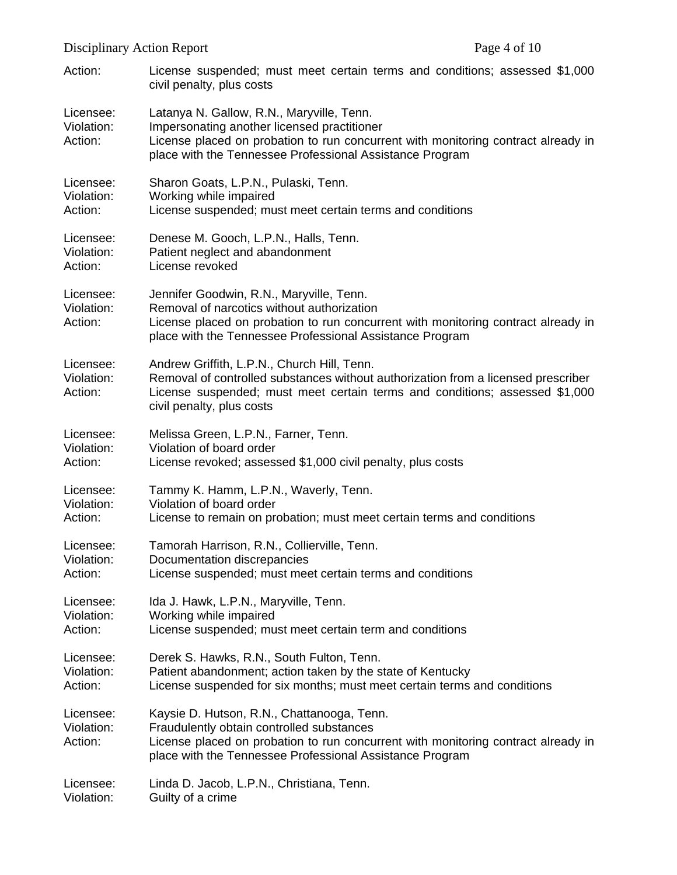| Disciplinary Action Report         |                                                                                                                                                                                                                                              | Page 4 of 10 |
|------------------------------------|----------------------------------------------------------------------------------------------------------------------------------------------------------------------------------------------------------------------------------------------|--------------|
| Action:                            | License suspended; must meet certain terms and conditions; assessed \$1,000<br>civil penalty, plus costs                                                                                                                                     |              |
| Licensee:<br>Violation:<br>Action: | Latanya N. Gallow, R.N., Maryville, Tenn.<br>Impersonating another licensed practitioner<br>License placed on probation to run concurrent with monitoring contract already in<br>place with the Tennessee Professional Assistance Program    |              |
| Licensee:<br>Violation:<br>Action: | Sharon Goats, L.P.N., Pulaski, Tenn.<br>Working while impaired<br>License suspended; must meet certain terms and conditions                                                                                                                  |              |
| Licensee:<br>Violation:<br>Action: | Denese M. Gooch, L.P.N., Halls, Tenn.<br>Patient neglect and abandonment<br>License revoked                                                                                                                                                  |              |
| Licensee:<br>Violation:<br>Action: | Jennifer Goodwin, R.N., Maryville, Tenn.<br>Removal of narcotics without authorization<br>License placed on probation to run concurrent with monitoring contract already in<br>place with the Tennessee Professional Assistance Program      |              |
| Licensee:<br>Violation:<br>Action: | Andrew Griffith, L.P.N., Church Hill, Tenn.<br>Removal of controlled substances without authorization from a licensed prescriber<br>License suspended; must meet certain terms and conditions; assessed \$1,000<br>civil penalty, plus costs |              |
| Licensee:<br>Violation:<br>Action: | Melissa Green, L.P.N., Farner, Tenn.<br>Violation of board order<br>License revoked; assessed \$1,000 civil penalty, plus costs                                                                                                              |              |
| Licensee:<br>Violation:<br>Action: | Tammy K. Hamm, L.P.N., Waverly, Tenn.<br>Violation of board order<br>License to remain on probation; must meet certain terms and conditions                                                                                                  |              |
| Licensee:<br>Violation:<br>Action: | Tamorah Harrison, R.N., Collierville, Tenn.<br>Documentation discrepancies<br>License suspended; must meet certain terms and conditions                                                                                                      |              |
| Licensee:<br>Violation:<br>Action: | Ida J. Hawk, L.P.N., Maryville, Tenn.<br>Working while impaired<br>License suspended; must meet certain term and conditions                                                                                                                  |              |
| Licensee:<br>Violation:<br>Action: | Derek S. Hawks, R.N., South Fulton, Tenn.<br>Patient abandonment; action taken by the state of Kentucky<br>License suspended for six months; must meet certain terms and conditions                                                          |              |
| Licensee:<br>Violation:<br>Action: | Kaysie D. Hutson, R.N., Chattanooga, Tenn.<br>Fraudulently obtain controlled substances<br>License placed on probation to run concurrent with monitoring contract already in<br>place with the Tennessee Professional Assistance Program     |              |

Licensee: Linda D. Jacob, L.P.N., Christiana, Tenn.

Violation: Guilty of a crime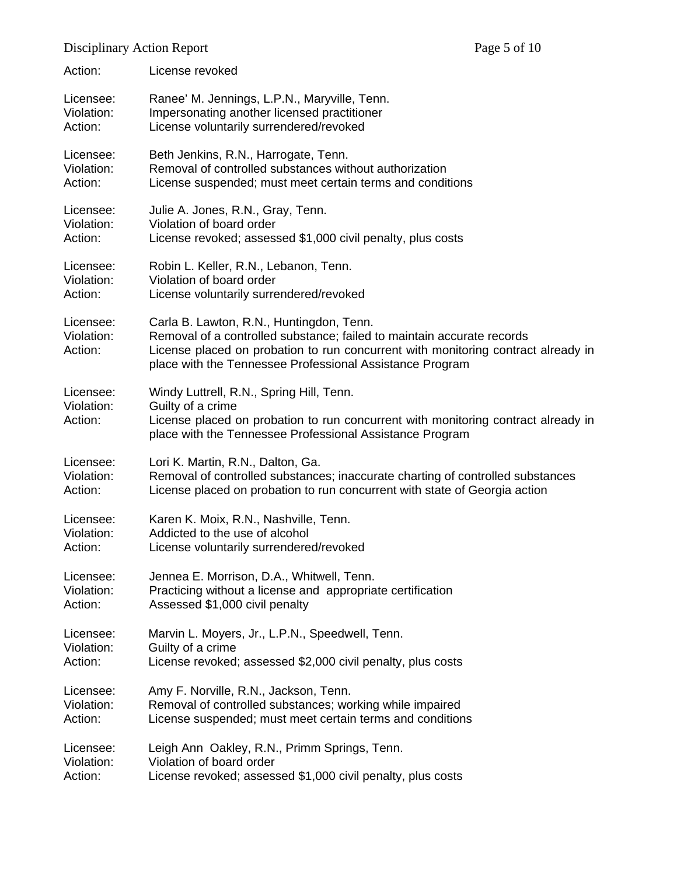| Action:                            | License revoked                                                                                                                                                                                                                                                     |
|------------------------------------|---------------------------------------------------------------------------------------------------------------------------------------------------------------------------------------------------------------------------------------------------------------------|
| Licensee:                          | Ranee' M. Jennings, L.P.N., Maryville, Tenn.                                                                                                                                                                                                                        |
| Violation:                         | Impersonating another licensed practitioner                                                                                                                                                                                                                         |
| Action:                            | License voluntarily surrendered/revoked                                                                                                                                                                                                                             |
| Licensee:                          | Beth Jenkins, R.N., Harrogate, Tenn.                                                                                                                                                                                                                                |
| Violation:                         | Removal of controlled substances without authorization                                                                                                                                                                                                              |
| Action:                            | License suspended; must meet certain terms and conditions                                                                                                                                                                                                           |
| Licensee:                          | Julie A. Jones, R.N., Gray, Tenn.                                                                                                                                                                                                                                   |
| Violation:                         | Violation of board order                                                                                                                                                                                                                                            |
| Action:                            | License revoked; assessed \$1,000 civil penalty, plus costs                                                                                                                                                                                                         |
| Licensee:                          | Robin L. Keller, R.N., Lebanon, Tenn.                                                                                                                                                                                                                               |
| Violation:                         | Violation of board order                                                                                                                                                                                                                                            |
| Action:                            | License voluntarily surrendered/revoked                                                                                                                                                                                                                             |
| Licensee:<br>Violation:<br>Action: | Carla B. Lawton, R.N., Huntingdon, Tenn.<br>Removal of a controlled substance; failed to maintain accurate records<br>License placed on probation to run concurrent with monitoring contract already in<br>place with the Tennessee Professional Assistance Program |
| Licensee:<br>Violation:<br>Action: | Windy Luttrell, R.N., Spring Hill, Tenn.<br>Guilty of a crime<br>License placed on probation to run concurrent with monitoring contract already in<br>place with the Tennessee Professional Assistance Program                                                      |
| Licensee:                          | Lori K. Martin, R.N., Dalton, Ga.                                                                                                                                                                                                                                   |
| Violation:                         | Removal of controlled substances; inaccurate charting of controlled substances                                                                                                                                                                                      |
| Action:                            | License placed on probation to run concurrent with state of Georgia action                                                                                                                                                                                          |
| Licensee:                          | Karen K. Moix, R.N., Nashville, Tenn.                                                                                                                                                                                                                               |
| Violation:                         | Addicted to the use of alcohol                                                                                                                                                                                                                                      |
| Action:                            | License voluntarily surrendered/revoked                                                                                                                                                                                                                             |
| Licensee:                          | Jennea E. Morrison, D.A., Whitwell, Tenn.                                                                                                                                                                                                                           |
| Violation:                         | Practicing without a license and appropriate certification                                                                                                                                                                                                          |
| Action:                            | Assessed \$1,000 civil penalty                                                                                                                                                                                                                                      |
| Licensee:                          | Marvin L. Moyers, Jr., L.P.N., Speedwell, Tenn.                                                                                                                                                                                                                     |
| Violation:                         | Guilty of a crime                                                                                                                                                                                                                                                   |
| Action:                            | License revoked; assessed \$2,000 civil penalty, plus costs                                                                                                                                                                                                         |
| Licensee:                          | Amy F. Norville, R.N., Jackson, Tenn.                                                                                                                                                                                                                               |
| Violation:                         | Removal of controlled substances; working while impaired                                                                                                                                                                                                            |
| Action:                            | License suspended; must meet certain terms and conditions                                                                                                                                                                                                           |
| Licensee:                          | Leigh Ann Oakley, R.N., Primm Springs, Tenn.                                                                                                                                                                                                                        |
| Violation:                         | Violation of board order                                                                                                                                                                                                                                            |
| Action:                            | License revoked; assessed \$1,000 civil penalty, plus costs                                                                                                                                                                                                         |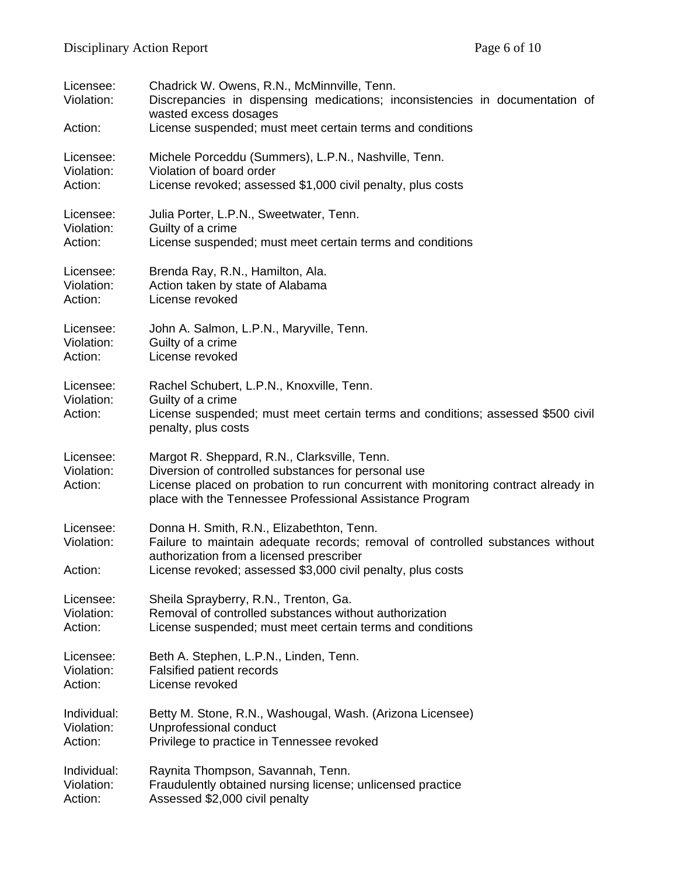| Licensee:<br>Violation:<br>Action: | Chadrick W. Owens, R.N., McMinnville, Tenn.<br>Discrepancies in dispensing medications; inconsistencies in documentation of<br>wasted excess dosages<br>License suspended; must meet certain terms and conditions |
|------------------------------------|-------------------------------------------------------------------------------------------------------------------------------------------------------------------------------------------------------------------|
|                                    |                                                                                                                                                                                                                   |
| Licensee:<br>Violation:            | Michele Porceddu (Summers), L.P.N., Nashville, Tenn.<br>Violation of board order                                                                                                                                  |
| Action:                            | License revoked; assessed \$1,000 civil penalty, plus costs                                                                                                                                                       |
| Licensee:<br>Violation:<br>Action: | Julia Porter, L.P.N., Sweetwater, Tenn.<br>Guilty of a crime<br>License suspended; must meet certain terms and conditions                                                                                         |
|                                    |                                                                                                                                                                                                                   |
| Licensee:<br>Violation:<br>Action: | Brenda Ray, R.N., Hamilton, Ala.<br>Action taken by state of Alabama<br>License revoked                                                                                                                           |
|                                    |                                                                                                                                                                                                                   |
| Licensee:<br>Violation:<br>Action: | John A. Salmon, L.P.N., Maryville, Tenn.<br>Guilty of a crime<br>License revoked                                                                                                                                  |
| Licensee:                          | Rachel Schubert, L.P.N., Knoxville, Tenn.                                                                                                                                                                         |
| Violation:                         | Guilty of a crime                                                                                                                                                                                                 |
| Action:                            | License suspended; must meet certain terms and conditions; assessed \$500 civil<br>penalty, plus costs                                                                                                            |
| Licensee:                          | Margot R. Sheppard, R.N., Clarksville, Tenn.                                                                                                                                                                      |
| Violation:<br>Action:              | Diversion of controlled substances for personal use<br>License placed on probation to run concurrent with monitoring contract already in<br>place with the Tennessee Professional Assistance Program              |
| Licensee:                          | Donna H. Smith, R.N., Elizabethton, Tenn.                                                                                                                                                                         |
| Violation:                         | Failure to maintain adequate records; removal of controlled substances without<br>authorization from a licensed prescriber                                                                                        |
| Action:                            | License revoked; assessed \$3,000 civil penalty, plus costs                                                                                                                                                       |
| Licensee:<br>Violation:<br>Action: | Sheila Sprayberry, R.N., Trenton, Ga.<br>Removal of controlled substances without authorization<br>License suspended; must meet certain terms and conditions                                                      |
|                                    |                                                                                                                                                                                                                   |
| Licensee:<br>Violation:<br>Action: | Beth A. Stephen, L.P.N., Linden, Tenn.<br>Falsified patient records<br>License revoked                                                                                                                            |
| Individual:                        | Betty M. Stone, R.N., Washougal, Wash. (Arizona Licensee)                                                                                                                                                         |
| Violation:<br>Action:              | Unprofessional conduct<br>Privilege to practice in Tennessee revoked                                                                                                                                              |
| Individual:                        | Raynita Thompson, Savannah, Tenn.                                                                                                                                                                                 |
| Violation:<br>Action:              | Fraudulently obtained nursing license; unlicensed practice<br>Assessed \$2,000 civil penalty                                                                                                                      |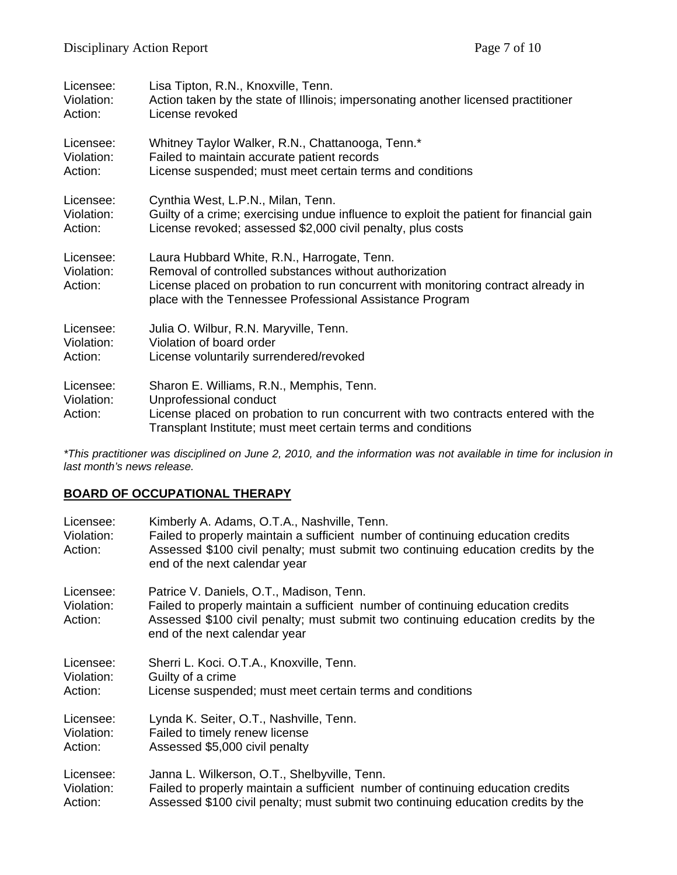| Licensee:                          | Lisa Tipton, R.N., Knoxville, Tenn.                                                                                                                                                                                                                    |
|------------------------------------|--------------------------------------------------------------------------------------------------------------------------------------------------------------------------------------------------------------------------------------------------------|
| Violation:                         | Action taken by the state of Illinois; impersonating another licensed practitioner                                                                                                                                                                     |
| Action:                            | License revoked                                                                                                                                                                                                                                        |
| Licensee:                          | Whitney Taylor Walker, R.N., Chattanooga, Tenn.*                                                                                                                                                                                                       |
| Violation:                         | Failed to maintain accurate patient records                                                                                                                                                                                                            |
| Action:                            | License suspended; must meet certain terms and conditions                                                                                                                                                                                              |
| Licensee:                          | Cynthia West, L.P.N., Milan, Tenn.                                                                                                                                                                                                                     |
| Violation:                         | Guilty of a crime; exercising undue influence to exploit the patient for financial gain                                                                                                                                                                |
| Action:                            | License revoked; assessed \$2,000 civil penalty, plus costs                                                                                                                                                                                            |
| Licensee:<br>Violation:<br>Action: | Laura Hubbard White, R.N., Harrogate, Tenn.<br>Removal of controlled substances without authorization<br>License placed on probation to run concurrent with monitoring contract already in<br>place with the Tennessee Professional Assistance Program |
| Licensee:                          | Julia O. Wilbur, R.N. Maryville, Tenn.                                                                                                                                                                                                                 |
| Violation:                         | Violation of board order                                                                                                                                                                                                                               |
| Action:                            | License voluntarily surrendered/revoked                                                                                                                                                                                                                |
| Licensee:<br>Violation:<br>Action: | Sharon E. Williams, R.N., Memphis, Tenn.<br>Unprofessional conduct<br>License placed on probation to run concurrent with two contracts entered with the<br>Transplant Institute; must meet certain terms and conditions                                |

*\*This practitioner was disciplined on June 2, 2010, and the information was not available in time for inclusion in last month's news release.* 

### **BOARD OF OCCUPATIONAL THERAPY**

| Licensee:<br>Violation:<br>Action: | Kimberly A. Adams, O.T.A., Nashville, Tenn.<br>Failed to properly maintain a sufficient number of continuing education credits<br>Assessed \$100 civil penalty; must submit two continuing education credits by the<br>end of the next calendar year |
|------------------------------------|------------------------------------------------------------------------------------------------------------------------------------------------------------------------------------------------------------------------------------------------------|
| Licensee:<br>Violation:<br>Action: | Patrice V. Daniels, O.T., Madison, Tenn.<br>Failed to properly maintain a sufficient number of continuing education credits<br>Assessed \$100 civil penalty; must submit two continuing education credits by the<br>end of the next calendar year    |
| Licensee:                          | Sherri L. Koci. O.T.A., Knoxville, Tenn.                                                                                                                                                                                                             |
| Violation:                         | Guilty of a crime                                                                                                                                                                                                                                    |
| Action:                            | License suspended; must meet certain terms and conditions                                                                                                                                                                                            |
| Licensee:                          | Lynda K. Seiter, O.T., Nashville, Tenn.                                                                                                                                                                                                              |
| Violation:                         | Failed to timely renew license                                                                                                                                                                                                                       |
| Action:                            | Assessed \$5,000 civil penalty                                                                                                                                                                                                                       |
| Licensee:                          | Janna L. Wilkerson, O.T., Shelbyville, Tenn.                                                                                                                                                                                                         |
| Violation:                         | Failed to properly maintain a sufficient number of continuing education credits                                                                                                                                                                      |
| Action:                            | Assessed \$100 civil penalty; must submit two continuing education credits by the                                                                                                                                                                    |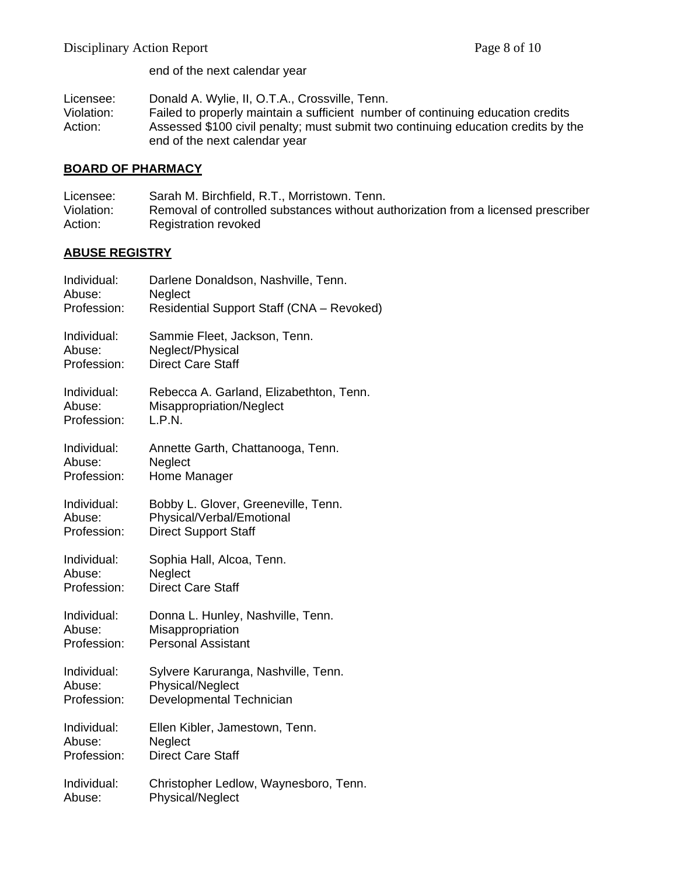end of the next calendar year

Licensee: Donald A. Wylie, II, O.T.A., Crossville, Tenn.

Violation: Failed to properly maintain a sufficient number of continuing education credits Action: Assessed \$100 civil penalty; must submit two continuing education credits by the end of the next calendar year

#### **BOARD OF PHARMACY**

Licensee: Sarah M. Birchfield, R.T., Morristown. Tenn. Violation: Removal of controlled substances without authorization from a licensed prescriber Action: Registration revoked

#### **ABUSE REGISTRY**

| Individual: | Darlene Donaldson, Nashville, Tenn.       |
|-------------|-------------------------------------------|
| Abuse:      | Neglect                                   |
| Profession: | Residential Support Staff (CNA - Revoked) |
| Individual: | Sammie Fleet, Jackson, Tenn.              |
| Abuse:      | Neglect/Physical                          |
| Profession: | <b>Direct Care Staff</b>                  |
| Individual: | Rebecca A. Garland, Elizabethton, Tenn.   |
| Abuse:      | Misappropriation/Neglect                  |
| Profession: | L.P.N.                                    |
| Individual: | Annette Garth, Chattanooga, Tenn.         |
| Abuse:      | Neglect                                   |
| Profession: | Home Manager                              |
| Individual: | Bobby L. Glover, Greeneville, Tenn.       |
| Abuse:      | Physical/Verbal/Emotional                 |
| Profession: | <b>Direct Support Staff</b>               |
| Individual: | Sophia Hall, Alcoa, Tenn.                 |
| Abuse:      | Neglect                                   |
| Profession: | <b>Direct Care Staff</b>                  |
| Individual: | Donna L. Hunley, Nashville, Tenn.         |
| Abuse:      | Misappropriation                          |
| Profession: | <b>Personal Assistant</b>                 |
| Individual: | Sylvere Karuranga, Nashville, Tenn.       |
| Abuse:      | <b>Physical/Neglect</b>                   |
| Profession: | Developmental Technician                  |
| Individual: | Ellen Kibler, Jamestown, Tenn.            |
| Abuse:      | Neglect                                   |
| Profession: | <b>Direct Care Staff</b>                  |
| Individual: | Christopher Ledlow, Waynesboro, Tenn.     |
| Abuse:      | <b>Physical/Neglect</b>                   |